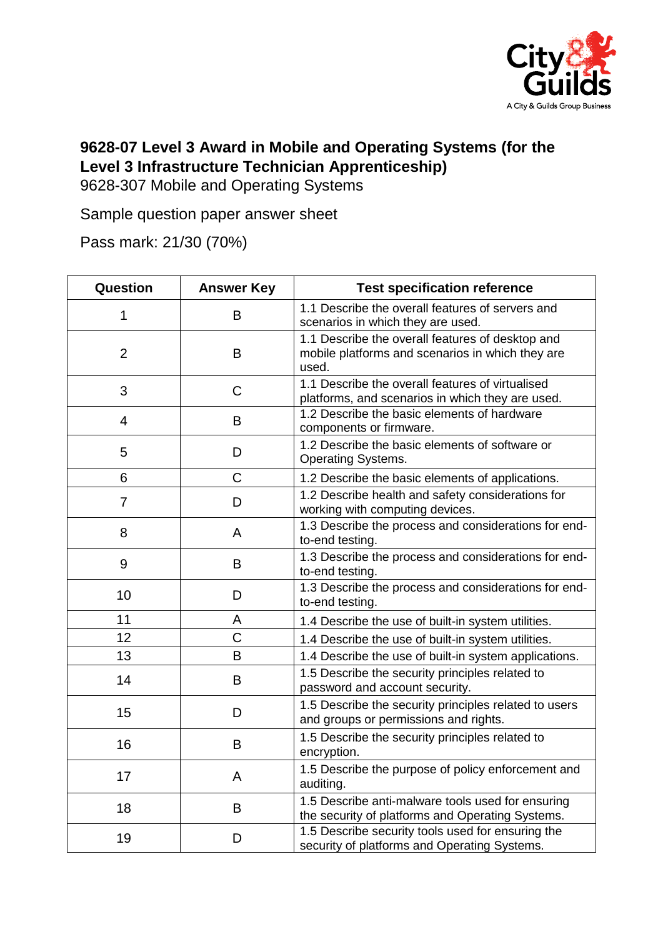

## **9628-07 Level 3 Award in Mobile and Operating Systems (for the Level 3 Infrastructure Technician Apprenticeship)**

9628-307 Mobile and Operating Systems

Sample question paper answer sheet

Pass mark: 21/30 (70%)

| Question       | <b>Answer Key</b> | <b>Test specification reference</b>                                                                           |
|----------------|-------------------|---------------------------------------------------------------------------------------------------------------|
| 1              | B                 | 1.1 Describe the overall features of servers and<br>scenarios in which they are used.                         |
| $\overline{2}$ | B                 | 1.1 Describe the overall features of desktop and<br>mobile platforms and scenarios in which they are<br>used. |
| 3              | C                 | 1.1 Describe the overall features of virtualised<br>platforms, and scenarios in which they are used.          |
| 4              | B                 | 1.2 Describe the basic elements of hardware<br>components or firmware.                                        |
| 5              | D                 | 1.2 Describe the basic elements of software or<br><b>Operating Systems.</b>                                   |
| 6              | $\mathsf C$       | 1.2 Describe the basic elements of applications.                                                              |
| $\overline{7}$ | D                 | 1.2 Describe health and safety considerations for<br>working with computing devices.                          |
| 8              | A                 | 1.3 Describe the process and considerations for end-<br>to-end testing.                                       |
| 9              | B                 | 1.3 Describe the process and considerations for end-<br>to-end testing.                                       |
| 10             | D                 | 1.3 Describe the process and considerations for end-<br>to-end testing.                                       |
| 11             | A                 | 1.4 Describe the use of built-in system utilities.                                                            |
| 12             | C                 | 1.4 Describe the use of built-in system utilities.                                                            |
| 13             | B                 | 1.4 Describe the use of built-in system applications.                                                         |
| 14             | B                 | 1.5 Describe the security principles related to<br>password and account security.                             |
| 15             | D                 | 1.5 Describe the security principles related to users<br>and groups or permissions and rights.                |
| 16             | B                 | 1.5 Describe the security principles related to<br>encryption.                                                |
| 17             | A                 | 1.5 Describe the purpose of policy enforcement and<br>auditing.                                               |
| 18             | B                 | 1.5 Describe anti-malware tools used for ensuring<br>the security of platforms and Operating Systems.         |
| 19             | D                 | 1.5 Describe security tools used for ensuring the<br>security of platforms and Operating Systems.             |